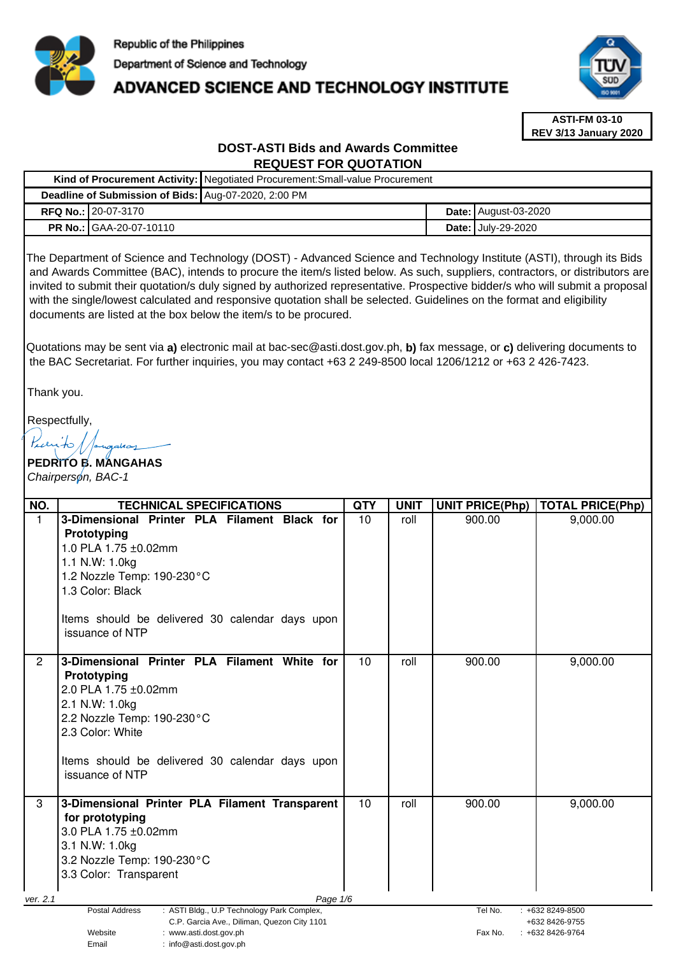

**Kind of Procurement Activity:** Negotiated Procurement:Small-value Procurement

# ADVANCED SCIENCE AND TECHNOLOGY INSTITUTE



**ASTI-FM 03-10 REV 3/13 January 2020**

# **DOST-ASTI Bids and Awards Committee REQUEST FOR QUOTATION**

| Deadline of Submission of Bids: Aug-07-2020, 2:00 PM                                                                                                                                                                                                                                                                                                                                                                                                                                                                                                                                                                                                                                                                                                                                                                                           |                                                                                                                                                                                                                                              |            |             |  |                        |                         |  |
|------------------------------------------------------------------------------------------------------------------------------------------------------------------------------------------------------------------------------------------------------------------------------------------------------------------------------------------------------------------------------------------------------------------------------------------------------------------------------------------------------------------------------------------------------------------------------------------------------------------------------------------------------------------------------------------------------------------------------------------------------------------------------------------------------------------------------------------------|----------------------------------------------------------------------------------------------------------------------------------------------------------------------------------------------------------------------------------------------|------------|-------------|--|------------------------|-------------------------|--|
| RFQ No.: 20-07-3170                                                                                                                                                                                                                                                                                                                                                                                                                                                                                                                                                                                                                                                                                                                                                                                                                            |                                                                                                                                                                                                                                              |            |             |  | Date: August-03-2020   |                         |  |
| PR No.:<br>GAA-20-07-10110                                                                                                                                                                                                                                                                                                                                                                                                                                                                                                                                                                                                                                                                                                                                                                                                                     |                                                                                                                                                                                                                                              |            |             |  | Date: July-29-2020     |                         |  |
| The Department of Science and Technology (DOST) - Advanced Science and Technology Institute (ASTI), through its Bids<br>and Awards Committee (BAC), intends to procure the item/s listed below. As such, suppliers, contractors, or distributors are<br>invited to submit their quotation/s duly signed by authorized representative. Prospective bidder/s who will submit a proposal<br>with the single/lowest calculated and responsive quotation shall be selected. Guidelines on the format and eligibility<br>documents are listed at the box below the item/s to be procured.<br>Quotations may be sent via a) electronic mail at bac-sec@asti.dost.gov.ph, b) fax message, or c) delivering documents to<br>the BAC Secretariat. For further inquiries, you may contact +63 2 249-8500 local 1206/1212 or +63 2 426-7423.<br>Thank you. |                                                                                                                                                                                                                                              |            |             |  |                        |                         |  |
| Respectfully,<br>Pranito 1<br>ngaha<br>PEDRITO B. MANGAHAS<br>Chairperson, BAC-1                                                                                                                                                                                                                                                                                                                                                                                                                                                                                                                                                                                                                                                                                                                                                               |                                                                                                                                                                                                                                              |            |             |  |                        |                         |  |
| NO.                                                                                                                                                                                                                                                                                                                                                                                                                                                                                                                                                                                                                                                                                                                                                                                                                                            | <b>TECHNICAL SPECIFICATIONS</b>                                                                                                                                                                                                              | <b>QTY</b> | <b>UNIT</b> |  | <b>UNIT PRICE(Php)</b> | <b>TOTAL PRICE(Php)</b> |  |
| $\mathbf{1}$<br>Prototyping<br>1.0 PLA 1.75 ±0.02mm<br>1.1 N.W: 1.0kg<br>1.2 Nozzle Temp: 190-230°C<br>1.3 Color: Black<br>issuance of NTP                                                                                                                                                                                                                                                                                                                                                                                                                                                                                                                                                                                                                                                                                                     | 3-Dimensional Printer PLA Filament Black for<br>Items should be delivered 30 calendar days upon                                                                                                                                              | 10         | roll        |  | 900.00                 | 9,000.00                |  |
| $\overline{2}$<br>Prototyping<br>2.0 PLA 1.75 ±0.02mm<br>2.1 N.W: 1.0kg<br>2.2 Nozzle Temp: 190-230°C<br>2.3 Color: White<br>issuance of NTP                                                                                                                                                                                                                                                                                                                                                                                                                                                                                                                                                                                                                                                                                                   | 3-Dimensional Printer PLA Filament White for<br>Items should be delivered 30 calendar days upon                                                                                                                                              | 10         | roll        |  | 900.00                 | 9,000.00                |  |
| 3<br>for prototyping<br>3.0 PLA 1.75 ±0.02mm<br>3.1 N.W: 1.0kg<br>3.2 Nozzle Temp: 190-230°C<br>3.3 Color: Transparent                                                                                                                                                                                                                                                                                                                                                                                                                                                                                                                                                                                                                                                                                                                         | 3-Dimensional Printer PLA Filament Transparent                                                                                                                                                                                               | 10         | roll        |  | 900.00                 | 9,000.00                |  |
| ver. 2.1<br>Postal Address<br>Website<br>Email                                                                                                                                                                                                                                                                                                                                                                                                                                                                                                                                                                                                                                                                                                                                                                                                 | Page 1/6<br>: ASTI Bldg., U.P Technology Park Complex,<br>Tel No.<br>$: +6328249-8500$<br>C.P. Garcia Ave., Diliman, Quezon City 1101<br>+632 8426-9755<br>: www.asti.dost.gov.ph<br>Fax No.<br>$: +6328426-9764$<br>: info@asti.dost.gov.ph |            |             |  |                        |                         |  |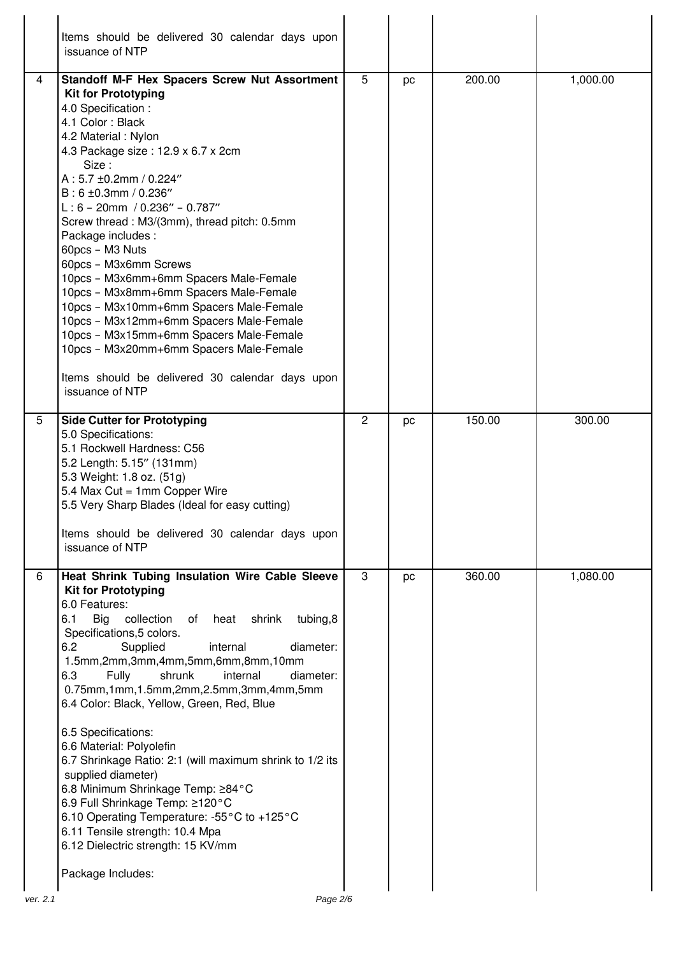|   | Items should be delivered 30 calendar days upon<br>issuance of NTP                                                                                                                                                                                                                                                                                                                                                                                                                                                                                                                                                                                                                                                                                                              |                |    |        |          |
|---|---------------------------------------------------------------------------------------------------------------------------------------------------------------------------------------------------------------------------------------------------------------------------------------------------------------------------------------------------------------------------------------------------------------------------------------------------------------------------------------------------------------------------------------------------------------------------------------------------------------------------------------------------------------------------------------------------------------------------------------------------------------------------------|----------------|----|--------|----------|
| 4 | Standoff M-F Hex Spacers Screw Nut Assortment<br><b>Kit for Prototyping</b><br>4.0 Specification :<br>4.1 Color: Black<br>4.2 Material: Nylon<br>4.3 Package size: 12.9 x 6.7 x 2cm<br>Size:<br>A: 5.7 ±0.2mm / 0.224"<br>$B: 6 \pm 0.3$ mm / 0.236"<br>$L: 6 - 20$ mm / 0.236" - 0.787"<br>Screw thread: M3/(3mm), thread pitch: 0.5mm<br>Package includes :<br>60pcs - M3 Nuts<br>60pcs - M3x6mm Screws<br>10pcs - M3x6mm+6mm Spacers Male-Female<br>10pcs - M3x8mm+6mm Spacers Male-Female<br>10pcs - M3x10mm+6mm Spacers Male-Female<br>10pcs - M3x12mm+6mm Spacers Male-Female<br>10pcs - M3x15mm+6mm Spacers Male-Female<br>10pcs - M3x20mm+6mm Spacers Male-Female<br>Items should be delivered 30 calendar days upon<br>issuance of NTP                                 | 5              | pc | 200.00 | 1,000.00 |
| 5 | <b>Side Cutter for Prototyping</b><br>5.0 Specifications:<br>5.1 Rockwell Hardness: C56<br>5.2 Length: 5.15" (131mm)<br>5.3 Weight: 1.8 oz. (51g)<br>5.4 Max Cut = 1mm Copper Wire<br>5.5 Very Sharp Blades (Ideal for easy cutting)<br>Items should be delivered 30 calendar days upon<br>issuance of NTP                                                                                                                                                                                                                                                                                                                                                                                                                                                                      | $\overline{2}$ | pc | 150.00 | 300.00   |
| 6 | Heat Shrink Tubing Insulation Wire Cable Sleeve<br><b>Kit for Prototyping</b><br>6.0 Features:<br>6.1<br>Big<br>collection<br>heat shrink<br>tubing,8<br>of<br>Specifications, 5 colors.<br>6.2<br>Supplied<br>internal<br>diameter:<br>1.5mm,2mm,3mm,4mm,5mm,6mm,8mm,10mm<br>Fully<br>shrunk<br>internal<br>6.3<br>diameter:<br>0.75mm,1mm,1.5mm,2mm,2.5mm,3mm,4mm,5mm<br>6.4 Color: Black, Yellow, Green, Red, Blue<br>6.5 Specifications:<br>6.6 Material: Polyolefin<br>6.7 Shrinkage Ratio: 2:1 (will maximum shrink to 1/2 its<br>supplied diameter)<br>6.8 Minimum Shrinkage Temp: ≥84°C<br>6.9 Full Shrinkage Temp: ≥120°C<br>6.10 Operating Temperature: -55°C to +125°C<br>6.11 Tensile strength: 10.4 Mpa<br>6.12 Dielectric strength: 15 KV/mm<br>Package Includes: | 3              | pc | 360.00 | 1,080.00 |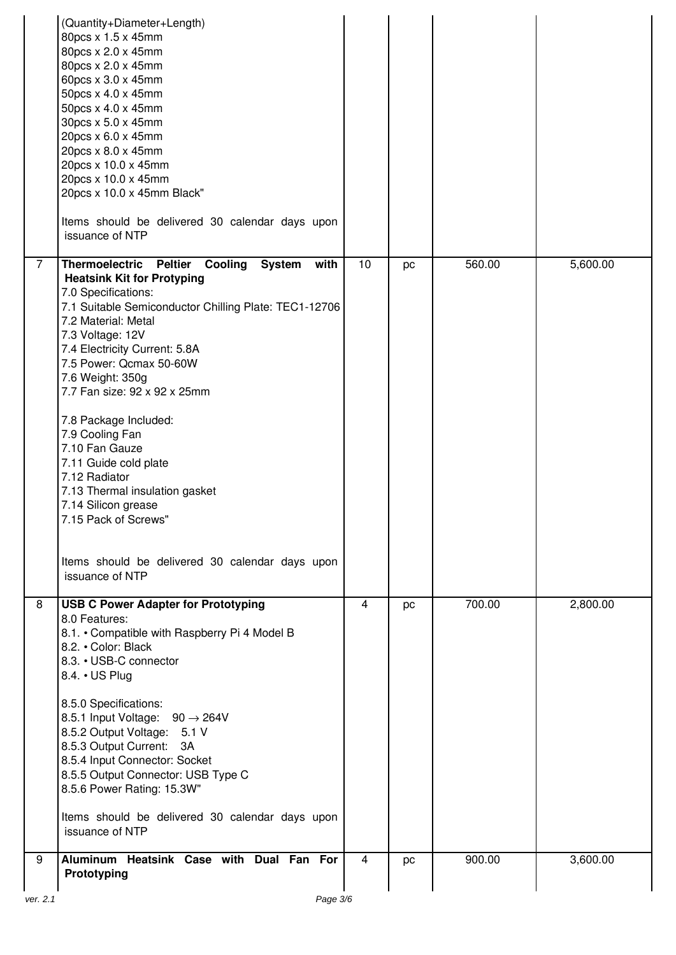|                | (Quantity+Diameter+Length)<br>80pcs x 1.5 x 45mm<br>80pcs x 2.0 x 45mm<br>80pcs x 2.0 x 45mm<br>60pcs x 3.0 x 45mm<br>50pcs x 4.0 x 45mm<br>50pcs x 4.0 x 45mm<br>30pcs x 5.0 x 45mm<br>20pcs x 6.0 x 45mm<br>20pcs x 8.0 x 45mm<br>20pcs x 10.0 x 45mm<br>20pcs x 10.0 x 45mm<br>20pcs x 10.0 x 45mm Black"<br>Items should be delivered 30 calendar days upon<br>issuance of NTP                                                                                                                                                                                                                        |                |    |        |          |
|----------------|-----------------------------------------------------------------------------------------------------------------------------------------------------------------------------------------------------------------------------------------------------------------------------------------------------------------------------------------------------------------------------------------------------------------------------------------------------------------------------------------------------------------------------------------------------------------------------------------------------------|----------------|----|--------|----------|
| $\overline{7}$ | Thermoelectric Peltier<br>Cooling<br><b>System</b><br>with<br><b>Heatsink Kit for Protyping</b><br>7.0 Specifications:<br>7.1 Suitable Semiconductor Chilling Plate: TEC1-12706<br>7.2 Material: Metal<br>7.3 Voltage: 12V<br>7.4 Electricity Current: 5.8A<br>7.5 Power: Qcmax 50-60W<br>7.6 Weight: 350g<br>7.7 Fan size: 92 x 92 x 25mm<br>7.8 Package Included:<br>7.9 Cooling Fan<br>7.10 Fan Gauze<br>7.11 Guide cold plate<br>7.12 Radiator<br>7.13 Thermal insulation gasket<br>7.14 Silicon grease<br>7.15 Pack of Screws"<br>Items should be delivered 30 calendar days upon<br>issuance of NTP | 10             | pc | 560.00 | 5,600.00 |
| 8              | <b>USB C Power Adapter for Prototyping</b><br>8.0 Features:<br>8.1. • Compatible with Raspberry Pi 4 Model B<br>8.2. • Color: Black<br>8.3. • USB-C connector<br>8.4. • US Plug<br>8.5.0 Specifications:<br>8.5.1 Input Voltage: $90 \rightarrow 264$ V<br>8.5.2 Output Voltage: 5.1 V<br>8.5.3 Output Current:<br>3A<br>8.5.4 Input Connector: Socket<br>8.5.5 Output Connector: USB Type C<br>8.5.6 Power Rating: 15.3W"<br>Items should be delivered 30 calendar days upon<br>issuance of NTP                                                                                                          | $\overline{4}$ | pc | 700.00 | 2,800.00 |
| 9              | Aluminum Heatsink Case with Dual Fan For<br>Prototyping                                                                                                                                                                                                                                                                                                                                                                                                                                                                                                                                                   | 4              | pc | 900.00 | 3,600.00 |
| ver. 2.1       | Page 3/6                                                                                                                                                                                                                                                                                                                                                                                                                                                                                                                                                                                                  |                |    |        |          |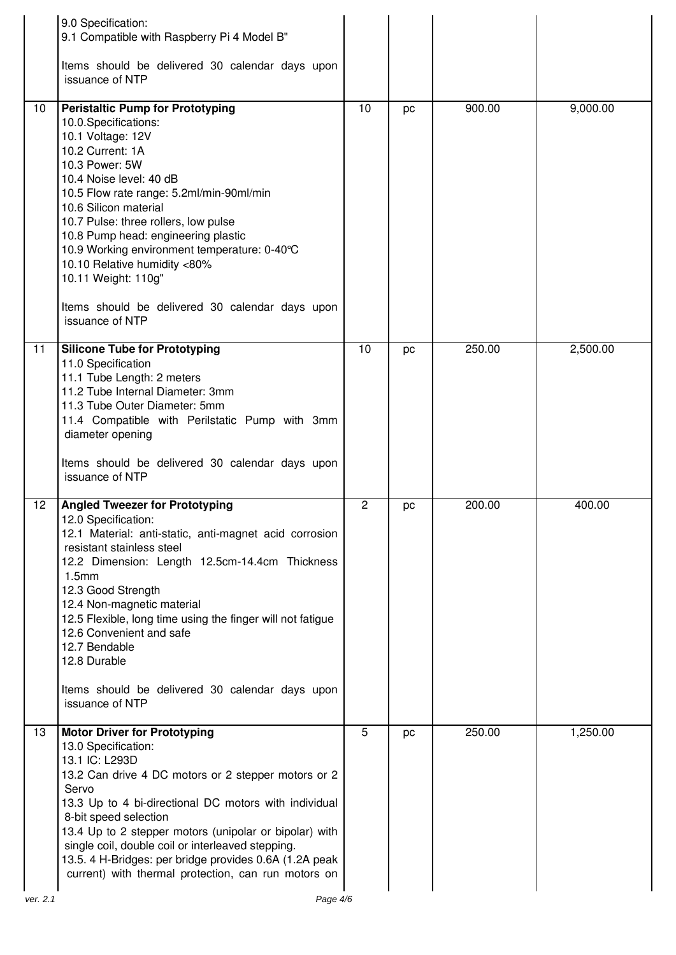|    | 9.0 Specification:<br>9.1 Compatible with Raspberry Pi 4 Model B"                                                                                                                                                                                                                                                                                                                                                                                                                      |                |    |        |          |
|----|----------------------------------------------------------------------------------------------------------------------------------------------------------------------------------------------------------------------------------------------------------------------------------------------------------------------------------------------------------------------------------------------------------------------------------------------------------------------------------------|----------------|----|--------|----------|
|    | Items should be delivered 30 calendar days upon<br>issuance of NTP                                                                                                                                                                                                                                                                                                                                                                                                                     |                |    |        |          |
| 10 | <b>Peristaltic Pump for Prototyping</b><br>10.0.Specifications:<br>10.1 Voltage: 12V<br>10.2 Current: 1A<br>10.3 Power: 5W<br>10.4 Noise level: 40 dB<br>10.5 Flow rate range: 5.2ml/min-90ml/min<br>10.6 Silicon material<br>10.7 Pulse: three rollers, low pulse<br>10.8 Pump head: engineering plastic<br>10.9 Working environment temperature: 0-40°C<br>10.10 Relative humidity <80%<br>10.11 Weight: 110g"<br>Items should be delivered 30 calendar days upon<br>issuance of NTP | 10             | pc | 900.00 | 9,000.00 |
| 11 | <b>Silicone Tube for Prototyping</b><br>11.0 Specification<br>11.1 Tube Length: 2 meters<br>11.2 Tube Internal Diameter: 3mm<br>11.3 Tube Outer Diameter: 5mm<br>11.4 Compatible with Perilstatic Pump with 3mm<br>diameter opening<br>Items should be delivered 30 calendar days upon<br>issuance of NTP                                                                                                                                                                              | 10             | pc | 250.00 | 2,500.00 |
| 12 | <b>Angled Tweezer for Prototyping</b><br>12.0 Specification:<br>12.1 Material: anti-static, anti-magnet acid corrosion<br>resistant stainless steel<br>12.2 Dimension: Length 12.5cm-14.4cm Thickness<br>1.5 <sub>mm</sub><br>12.3 Good Strength<br>12.4 Non-magnetic material<br>12.5 Flexible, long time using the finger will not fatigue<br>12.6 Convenient and safe<br>12.7 Bendable<br>12.8 Durable<br>Items should be delivered 30 calendar days upon<br>issuance of NTP        | $\overline{2}$ | pc | 200.00 | 400.00   |
| 13 | <b>Motor Driver for Prototyping</b><br>13.0 Specification:<br>13.1 IC: L293D<br>13.2 Can drive 4 DC motors or 2 stepper motors or 2<br>Servo<br>13.3 Up to 4 bi-directional DC motors with individual<br>8-bit speed selection<br>13.4 Up to 2 stepper motors (unipolar or bipolar) with<br>single coil, double coil or interleaved stepping.<br>13.5. 4 H-Bridges: per bridge provides 0.6A (1.2A peak<br>current) with thermal protection, can run motors on                         | 5              | pc | 250.00 | 1,250.00 |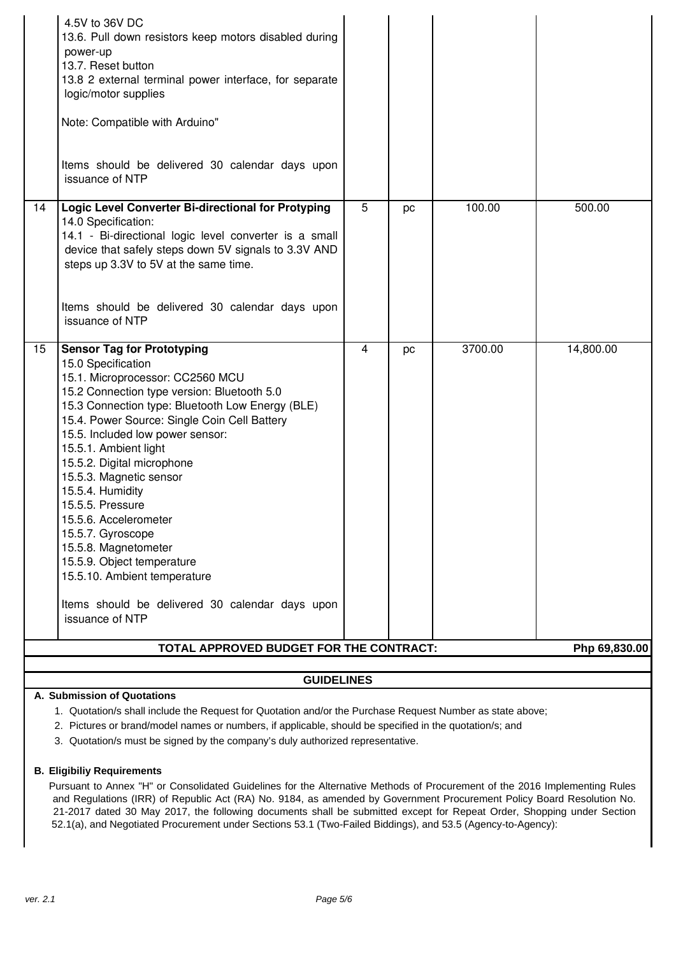|                                         | 4.5V to 36V DC<br>13.6. Pull down resistors keep motors disabled during<br>power-up<br>13.7. Reset button<br>13.8 2 external terminal power interface, for separate<br>logic/motor supplies<br>Note: Compatible with Arduino"<br>Items should be delivered 30 calendar days upon<br>issuance of NTP                                                                                                                                                                                                                                                                                                                    |   |    |         |                            |
|-----------------------------------------|------------------------------------------------------------------------------------------------------------------------------------------------------------------------------------------------------------------------------------------------------------------------------------------------------------------------------------------------------------------------------------------------------------------------------------------------------------------------------------------------------------------------------------------------------------------------------------------------------------------------|---|----|---------|----------------------------|
| 14                                      | Logic Level Converter Bi-directional for Protyping<br>14.0 Specification:<br>14.1 - Bi-directional logic level converter is a small<br>device that safely steps down 5V signals to 3.3V AND<br>steps up 3.3V to 5V at the same time.<br>Items should be delivered 30 calendar days upon<br>issuance of NTP                                                                                                                                                                                                                                                                                                             | 5 | pc | 100.00  | 500.00                     |
| 15                                      | <b>Sensor Tag for Prototyping</b><br>15.0 Specification<br>15.1. Microprocessor: CC2560 MCU<br>15.2 Connection type version: Bluetooth 5.0<br>15.3 Connection type: Bluetooth Low Energy (BLE)<br>15.4. Power Source: Single Coin Cell Battery<br>15.5. Included low power sensor:<br>15.5.1. Ambient light<br>15.5.2. Digital microphone<br>15.5.3. Magnetic sensor<br>15.5.4. Humidity<br>15.5.5. Pressure<br>15.5.6. Accelerometer<br>15.5.7. Gyroscope<br>15.5.8. Magnetometer<br>15.5.9. Object temperature<br>15.5.10. Ambient temperature<br>Items should be delivered 30 calendar days upon<br>issuance of NTP | 4 | pc | 3700.00 | 14,800.00<br>Php 69,830.00 |
| TOTAL APPROVED BUDGET FOR THE CONTRACT: |                                                                                                                                                                                                                                                                                                                                                                                                                                                                                                                                                                                                                        |   |    |         |                            |

## **GUIDELINES**

# **A. Submission of Quotations**

- 1. Quotation/s shall include the Request for Quotation and/or the Purchase Request Number as state above;
- 2. Pictures or brand/model names or numbers, if applicable, should be specified in the quotation/s; and
- 3. Quotation/s must be signed by the company's duly authorized representative.

#### **B. Eligibiliy Requirements**

Pursuant to Annex "H" or Consolidated Guidelines for the Alternative Methods of Procurement of the 2016 Implementing Rules and Regulations (IRR) of Republic Act (RA) No. 9184, as amended by Government Procurement Policy Board Resolution No. 21-2017 dated 30 May 2017, the following documents shall be submitted except for Repeat Order, Shopping under Section 52.1(a), and Negotiated Procurement under Sections 53.1 (Two-Failed Biddings), and 53.5 (Agency-to-Agency):